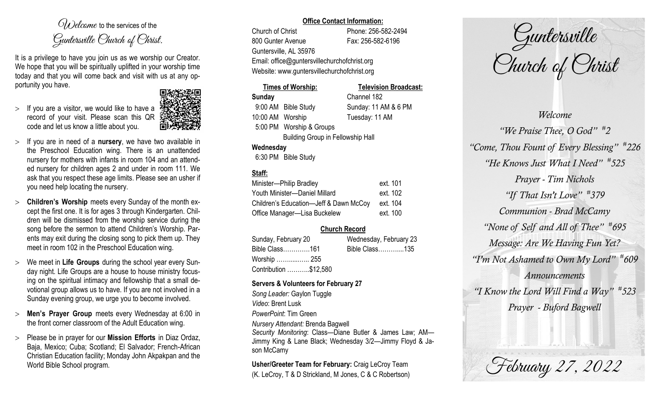$O(\lambda)$  elcame to the services of the Guntersville Church of Christ.

It is a privilege to have you join us as we worship our Creator. We hope that you will be spiritually uplifted in your worship time today and that you will come back and visit with us at any opportunity you have.

 $>$  If you are a visitor, we would like to have a record of your visit. Please scan this QR code and let us know a little about you.



- $>$  If you are in need of a **nursery**, we have two available in the Preschool Education wing. There is an unattended nursery for mothers with infants in room 104 and an attended nursery for children ages 2 and under in room 111. We ask that you respect these age limits. Please see an usher if you need help locating the nursery.
- **Children's Worship** meets every Sunday of the month except the first one. It is for ages 3 through Kindergarten. Children will be dismissed from the worship service during the song before the sermon to attend Children's Worship. Parents may exit during the closing song to pick them up. They meet in room 102 in the Preschool Education wing.
- We meet in **Life Groups** during the school year every Sunday night. Life Groups are a house to house ministry focusing on the spiritual intimacy and fellowship that a small devotional group allows us to have. If you are not involved in a Sunday evening group, we urge you to become involved.
- **Men's Prayer Group** meets every Wednesday at 6:00 in the front corner classroom of the Adult Education wing.
- Please be in prayer for our **Mission Efforts** in Diaz Ordaz, Baja, Mexico; Cuba; Scotland; El Salvador; French-African Christian Education facility; Monday John Akpakpan and the World Bible School program.

## **Office Contact Information:**

Church of Christ Phone: 256-582-2494 800 Gunter Avenue Fax: 256-582-6196 Guntersville, AL 35976 Email: office@guntersvillechurchofchrist.org Website: www.guntersvillechurchofchrist.org

**Times of Worship: Television Broadcast:**

# **Sunday** Channel 182 9:00 AM Bible Study Sunday: 11 AM & 6 PM 10:00 AM Worship Tuesday: 11 AM 5:00 PM Worship & Groups Building Group in Fellowship Hall **Wednesday**

6:30 PM Bible Study

# **Staff:**

| Minister-Philip Bradley                | ext. 101 |
|----------------------------------------|----------|
| Youth Minister-Daniel Millard          | ext. 102 |
| Children's Education-Jeff & Dawn McCoy | ext. 104 |
| Office Manager-Lisa Buckelew           | ext. 100 |

# **Church Record**

| Sunday, February 20   |  | Wednesday, February 23 |  |
|-----------------------|--|------------------------|--|
| Bible Class161        |  | Bible Class135         |  |
| Worship  255          |  |                        |  |
| Contribution \$12,580 |  |                        |  |

# **Servers & Volunteers for February 27**

*Song Leader:* Gaylon Tuggle *Video*: Brent Lusk *PowerPoint*: Tim Green *Nursery Attendant:* Brenda Bagwell *Security Monitoring*: Class—Diane Butler & James Law; AM— Jimmy King & Lane Black; Wednesday 3/2—Jimmy Floyd & Jason McCamy

**Usher/Greeter Team for February:** Craig LeCroy Team (K. LeCroy, T & D Strickland, M Jones, C & C Robertson)

Guntersville Church of Christ

*Welcome "We Praise Thee, O God" # 2 "Come, Thou Fount of Every Blessing" # 226 "He Knows Just What I Need" # 525 Prayer - Tim Nichols "If That Isn't Love" # 379 Communion - Brad McCamy "None of Self and All of Thee" # 695 Message: Are We Having Fun Yet? "I'm Not Ashamed to Own My Lord" # 609 Announcements "I Know the Lord Will Find a Way" # 523 Prayer - Buford Bagwell*

February 27, 2022